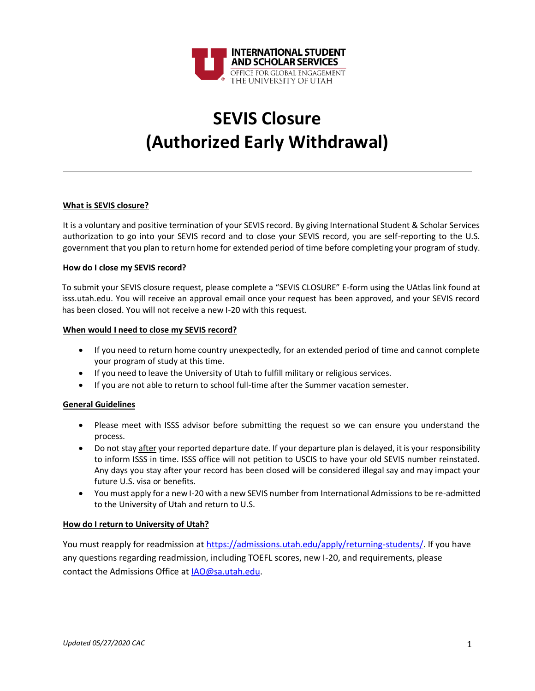

# **SEVIS Closure (Authorized Early Withdrawal)**

### **What is SEVIS closure?**

It is a voluntary and positive termination of your SEVIS record. By giving International Student & Scholar Services authorization to go into your SEVIS record and to close your SEVIS record, you are self-reporting to the U.S. government that you plan to return home for extended period of time before completing your program of study.

### **How do I close my SEVIS record?**

To submit your SEVIS closure request, please complete a "SEVIS CLOSURE" E-form using the UAtlas link found at isss.utah.edu. You will receive an approval email once your request has been approved, and your SEVIS record has been closed. You will not receive a new I-20 with this request.

### **When would I need to close my SEVIS record?**

- If you need to return home country unexpectedly, for an extended period of time and cannot complete your program of study at this time.
- If you need to leave the University of Utah to fulfill military or religious services.
- If you are not able to return to school full-time after the Summer vacation semester.

# **General Guidelines**

- Please meet with ISSS advisor before submitting the request so we can ensure you understand the process.
- Do not stay after your reported departure date. If your departure plan is delayed, it is your responsibility to inform ISSS in time. ISSS office will not petition to USCIS to have your old SEVIS number reinstated. Any days you stay after your record has been closed will be considered illegal say and may impact your future U.S. visa or benefits.
- You must apply for a new I-20 with a new SEVIS number from International Admissions to be re-admitted to the University of Utah and return to U.S.

# **How do I return to University of Utah?**

You must reapply for readmission at [https://admissions.utah.edu/apply/returning-students/.](https://admissions.utah.edu/apply/returning-students/) If you have any questions regarding readmission, including TOEFL scores, new I-20, and requirements, please contact the Admissions Office at [IAO@sa.utah.edu.](mailto:IAO@sa.utah.edu)